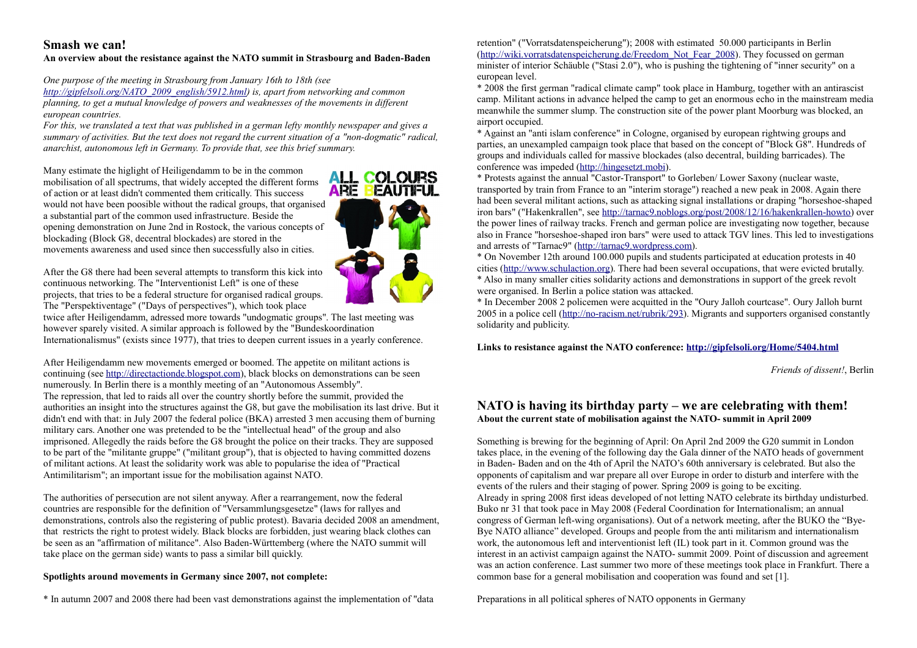# **Smash we can!**

### **An overview about the resistance against the NATO summit in Strasbourg and Baden-Baden**

*One purpose of the meeting in Strasbourg from January 16th to 18th (see http://gipfelsoli.org/NATO\_2009\_english/5912.html) is, apart from networking and common planning, to get a mutual knowledge of powers and weaknesses of the movements in different european countries.*

*For this, we translated a text that was published in a german lefty monthly newspaper and gives a summary of activities. But the text does not regard the current situation of a "non-dogmatic" radical, anarchist, autonomous left in Germany. To provide that, see this brief summary.*

Many estimate the higlight of Heiligendamm to be in the common mobilisation of all spectrums, that widely accepted the different forms of action or at least didn't commented them critically. This success would not have been poosible without the radical groups, that organised a substantial part of the common used infrastructure. Beside the opening demonstration on June 2nd in Rostock, the various concepts of blockading (Block G8, decentral blockades) are stored in the movements awareness and used since then successfully also in cities.



After the G8 there had been several attempts to transform this kick into continuous networking. The "Interventionist Left" is one of these projects, that tries to be a federal structure for organised radical groups. The "Perspektiventage" ("Days of perspectives"), which took place

twice after Heiligendamm, adressed more towards "undogmatic groups". The last meeting was however sparely visited. A similar approach is followed by the "Bundeskoordination Internationalismus" (exists since 1977), that tries to deepen current issues in a yearly conference.

After Heiligendamm new movements emerged or boomed. The appetite on militant actions is continuing (see http://directactionde.blogspot.com), black blocks on demonstrations can be seen numerously. In Berlin there is a monthly meeting of an "Autonomous Assembly". The repression, that led to raids all over the country shortly before the summit, provided the authorities an insight into the structures against the G8, but gave the mobilisation its last drive. But it didn't end with that: in July 2007 the federal police (BKA) arrested 3 men accusing them of burning military cars. Another one was pretended to be the "intellectual head" of the group and also imprisoned. Allegedly the raids before the G8 brought the police on their tracks. They are supposed to be part of the "militante gruppe" ("militant group"), that is objected to having committed dozens of militant actions. At least the solidarity work was able to popularise the idea of "Practical Antimilitarism"; an important issue for the mobilisation against NATO. Simula we can be restrained a paint due NATO simula in Strabent and Message in all political spheres of a second and message in all political spheres of a second and message in all political spheres of the control of the

The authorities of persecution are not silent anyway. After a rearrangement, now the federal countries are responsible for the definition of "Versammlungsgesetze" (laws for rallyes and demonstrations, controls also the registering of public protest). Bavaria decided 2008 an amendment, that restricts the right to protest widely. Black blocks are forbidden, just wearing black clothes can be seen as an "affirmation of militance". Also Baden-Württemberg (where the NATO summit will take place on the german side) wants to pass a similar bill quickly.

### **Spotlights around movements in Germany since 2007, not complete:**

\* In autumn 2007 and 2008 there had been vast demonstrations against the implementation of "data

retention" ("Vorratsdatenspeicherung"); 2008 with estimated 50.000 participants in Berlin (http://wiki.vorratsdatenspeicherung.de/Freedom\_Not\_Fear\_2008). They focussed on german minister of interior Schäuble ("Stasi 2.0"), who is pushing the tightening of "inner security" on a european level.

\* 2008 the first german "radical climate camp" took place in Hamburg, together with an antirascist camp. Militant actions in advance helped the camp to get an enormous echo in the mainstream media meanwhile the summer slump. The construction site of the power plant Moorburg was blocked, an airport occupied.

\* Against an "anti islam conference" in Cologne, organised by european rightwing groups and parties, an unexampled campaign took place that based on the concept of "Block G8". Hundreds of groups and individuals called for massive blockades (also decentral, building barricades). The conference was impeded (http://hingesetzt.mobi).

\* Protests against the annual "Castor-Transport" to Gorleben/ Lower Saxony (nuclear waste, transported by train from France to an "interim storage") reached a new peak in 2008. Again there had been several militant actions, such as attacking signal installations or draping "horseshoe-shaped iron bars" ("Hakenkrallen", see [http://tarnac9.noblogs.org/post/2008/12/16/hakenkrallen-howto\)](http://tarnac9.noblogs.org/post/2008/12/16/hakenkrallen-howto) over the power lines of railway tracks. French and german police are investigating now together, because also in France "horseshoe-shaped iron bars" were used to attack TGV lines. This led to investigations and arrests of "Tarnac9" (http://tarnac9.wordpress.com).

\* On November 12th around 100.000 pupils and students participated at education protests in 40 cities (http://www.schulaction.org). There had been several occupations, that were evicted brutally. \* Also in many smaller cities solidarity actions and demonstrations in support of the greek revolt were organised. In Berlin a police station was attacked.

\* In December 2008 2 policemen were acquitted in the "Oury Jalloh courtcase". Oury Jalloh burnt 2005 in a police cell (http://no-racism.net/rubrik/293). Migrants and supporters organised constantly solidarity and publicity.

**Links to resistance against the NATO conference:<http://gipfelsoli.org/Home/5404.html>**

*Friends of dissent!*, Berlin

## **NATO is having its birthday party – we are celebrating with them! About the current state of mobilisation against the NATO- summit in April 2009**

Something is brewing for the beginning of April: On April 2nd 2009 the G20 summit in London takes place, in the evening of the following day the Gala dinner of the NATO heads of government in Baden- Baden and on the 4th of April the NATO's 60th anniversary is celebrated. But also the opponents of capitalism and war prepare all over Europe in order to disturb and interfere with the events of the rulers and their staging of power. Spring 2009 is going to be exciting. Already in spring 2008 first ideas developed of not letting NATO celebrate its birthday undisturbed. Buko nr 31 that took pace in May 2008 (Federal Coordination for Internationalism; an annual congress of German left-wing organisations). Out of a network meeting, after the BUKO the "Bye-Bye NATO alliance" developed. Groups and people from the anti militarism and internationalism work, the autonomous left and interventionist left (IL) took part in it. Common ground was the interest in an activist campaign against the NATO- summit 2009. Point of discussion and agreement was an action conference. Last summer two more of these meetings took place in Frankfurt. There a common base for a general mobilisation and cooperation was found and set [1].